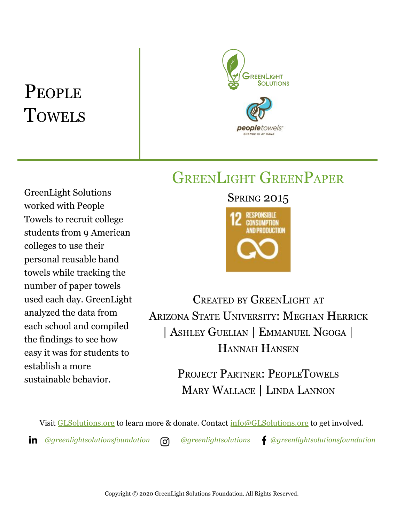# PEOPLE **TOWELS**



## GREENLIGHT GREENPAPER

GreenLight Solutions worked with People Towels to recruit college students from 9 American colleges to use their personal reusable hand towels while tracking the number of paper towels used each day. GreenLight analyzed the data from each school and compiled the findings to see how easy it was for students to establish a more sustainable behavior.

### **SPRING 2015**



CREATED BY GREENLIGHT AT ARIZONA STATE UNIVERSITY: MEGHAN HERRICK | ASHLEY GUELIAN | EMMANUEL NGOGA | HANNAH HANSEN

> PROJECT PARTNER: PEOPLETOWELS MARY WALLACE | LINDA LANNON

Visit [GLSolutions.org](https://www.glsolutions.org/) to learn more & donate. Contact  $\frac{info@GLSolutions.org}{info@GLSolutions.org}$  to get involved.

*[@greenlightsolutionsfoundation](https://www.linkedin.com/company/10571635) [@greenlightsolutions](https://www.instagram.com/greenlightsolutions/) [@greenlightsolutionsfoundation](https://www.facebook.com/GreenLightSolutionsFoundation/)*